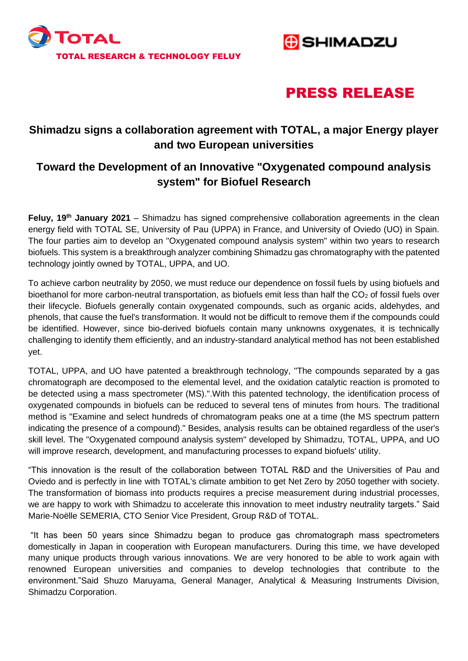



# PRESS RELEASE

### **Shimadzu signs a collaboration agreement with TOTAL, a major Energy player and two European universities**

## **Toward the Development of an Innovative "Oxygenated compound analysis system" for Biofuel Research**

**Feluy, 19th January 2021** – Shimadzu has signed comprehensive collaboration agreements in the clean energy field with TOTAL SE, University of Pau (UPPA) in France, and University of Oviedo (UO) in Spain. The four parties aim to develop an "Oxygenated compound analysis system" within two years to research biofuels. This system is a breakthrough analyzer combining Shimadzu gas chromatography with the patented technology jointly owned by TOTAL, UPPA, and UO.

To achieve carbon neutrality by 2050, we must reduce our dependence on fossil fuels by using biofuels and bioethanol for more carbon-neutral transportation, as biofuels emit less than half the  $CO<sub>2</sub>$  of fossil fuels over their lifecycle. Biofuels generally contain oxygenated compounds, such as organic acids, aldehydes, and phenols, that cause the fuel's transformation. It would not be difficult to remove them if the compounds could be identified. However, since bio-derived biofuels contain many unknowns oxygenates, it is technically challenging to identify them efficiently, and an industry-standard analytical method has not been established yet.

TOTAL, UPPA, and UO have patented a breakthrough technology, "The compounds separated by a gas chromatograph are decomposed to the elemental level, and the oxidation catalytic reaction is promoted to be detected using a mass spectrometer (MS).".With this patented technology, the identification process of oxygenated compounds in biofuels can be reduced to several tens of minutes from hours. The traditional method is "Examine and select hundreds of chromatogram peaks one at a time (the MS spectrum pattern indicating the presence of a compound)." Besides, analysis results can be obtained regardless of the user's skill level. The "Oxygenated compound analysis system" developed by Shimadzu, TOTAL, UPPA, and UO will improve research, development, and manufacturing processes to expand biofuels' utility.

"This innovation is the result of the collaboration between TOTAL R&D and the Universities of Pau and Oviedo and is perfectly in line with TOTAL's climate ambition to get Net Zero by 2050 together with society. The transformation of biomass into products requires a precise measurement during industrial processes, we are happy to work with Shimadzu to accelerate this innovation to meet industry neutrality targets." Said Marie-Noëlle SEMERIA, CTO Senior Vice President, Group R&D of TOTAL.

"It has been 50 years since Shimadzu began to produce gas chromatograph mass spectrometers domestically in Japan in cooperation with European manufacturers. During this time, we have developed many unique products through various innovations. We are very honored to be able to work again with renowned European universities and companies to develop technologies that contribute to the environment."Said Shuzo Maruyama, General Manager, Analytical & Measuring Instruments Division, Shimadzu Corporation.